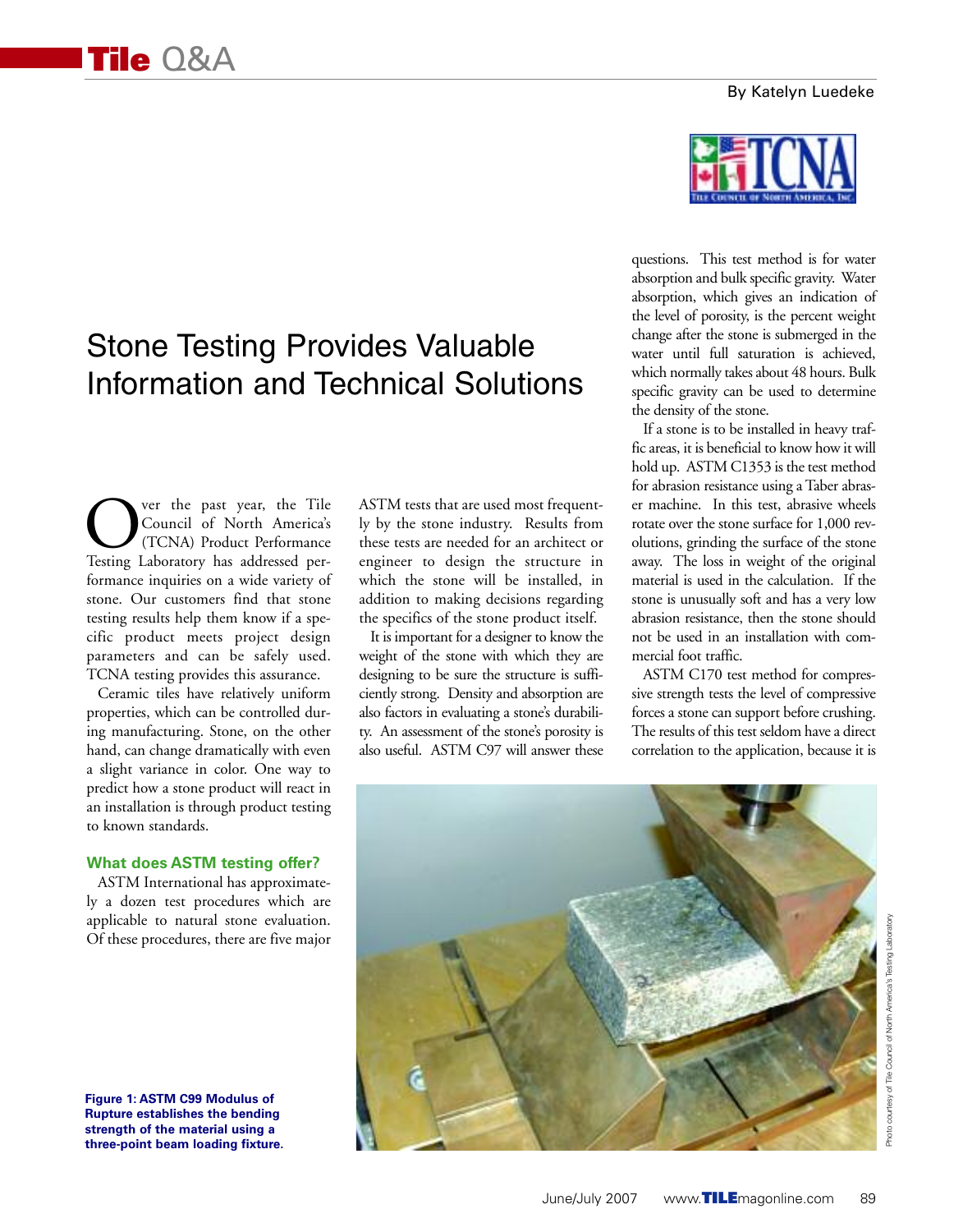## By Katelyn Luedeke

# Stone Testing Provides Valuable Information and Technical Solutions

**COUNTRY SERVING THE COUNTRY COUNTRY COUNTRY COUNTRY THE THE TESTING THE TESTING THE TESTING THE TESTING THE TESTING THE TESTING THE TESTING THE TESTING THE TESTING THE TESTING THE TESTING THE TESTING THE TESTING THE TESTI** Council of North America's (TCNA) Product Performance formance inquiries on a wide variety of stone. Our customers find that stone testing results help them know if a specific product meets project design parameters and can be safely used. TCNA testing provides this assurance.

Ceramic tiles have relatively uniform properties, which can be controlled during manufacturing. Stone, on the other hand, can change dramatically with even a slight variance in color. One way to predict how a stone product will react in an installation is through product testing to known standards.

## **What does ASTM testing offer?**

ASTM International has approximately a dozen test procedures which are applicable to natural stone evaluation. Of these procedures, there are five major

**Figure 1: ASTM C99 Modulus of Rupture establishes the bending strength of the material using a** 

ASTM tests that are used most frequently by the stone industry. Results from these tests are needed for an architect or engineer to design the structure in which the stone will be installed, in addition to making decisions regarding the specifics of the stone product itself.

It is important for a designer to know the weight of the stone with which they are designing to be sure the structure is sufficiently strong. Density and absorption are also factors in evaluating a stone's durability. An assessment of the stone's porosity is also useful. ASTM C97 will answer these



questions. This test method is for water absorption and bulk specific gravity. Water absorption, which gives an indication of the level of porosity, is the percent weight change after the stone is submerged in the water until full saturation is achieved, which normally takes about 48 hours. Bulk specific gravity can be used to determine the density of the stone.

If a stone is to be installed in heavy traffic areas, it is beneficial to know how it will hold up. ASTM C1353 is the test method for abrasion resistance using a Taber abraser machine. In this test, abrasive wheels rotate over the stone surface for 1,000 revolutions, grinding the surface of the stone away. The loss in weight of the original material is used in the calculation. If the stone is unusually soft and has a very low abrasion resistance, then the stone should not be used in an installation with commercial foot traffic.

ASTM C170 test method for compressive strength tests the level of compressive forces a stone can support before crushing. The results of this test seldom have a direct correlation to the application, because it is